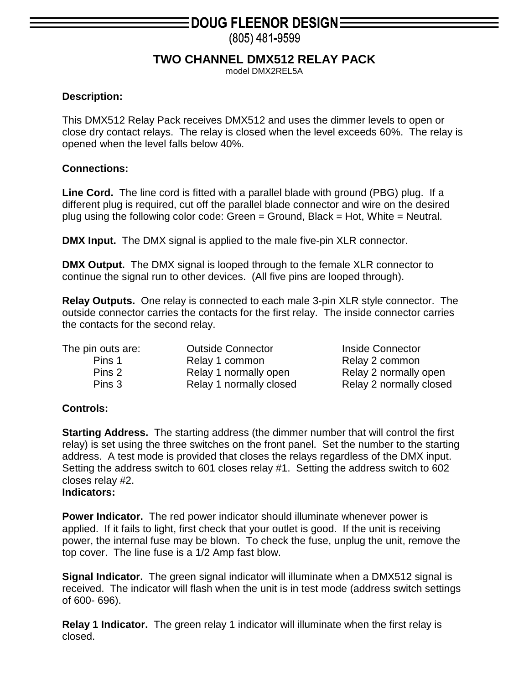## **DOUG FLEENOR DESIGN=**

(805) 481-9599

### **TWO CHANNEL DMX512 RELAY PACK**

model DMX2REL5A

#### **Description:**

This DMX512 Relay Pack receives DMX512 and uses the dimmer levels to open or close dry contact relays. The relay is closed when the level exceeds 60%. The relay is opened when the level falls below 40%.

#### **Connections:**

**Line Cord.** The line cord is fitted with a parallel blade with ground (PBG) plug. If a different plug is required, cut off the parallel blade connector and wire on the desired plug using the following color code: Green  $=$  Ground, Black  $=$  Hot, White  $=$  Neutral.

**DMX Input.** The DMX signal is applied to the male five-pin XLR connector.

**DMX Output.** The DMX signal is looped through to the female XLR connector to continue the signal run to other devices. (All five pins are looped through).

**Relay Outputs.** One relay is connected to each male 3-pin XLR style connector. The outside connector carries the contacts for the first relay. The inside connector carries the contacts for the second relay.

| The pin outs are: | <b>Outside Connector</b> | Inside Connector        |
|-------------------|--------------------------|-------------------------|
| Pins 1            | Relay 1 common           | Relay 2 common          |
| Pins 2            | Relay 1 normally open    | Relay 2 normally open   |
| Pins 3            | Relay 1 normally closed  | Relay 2 normally closed |

#### **Controls:**

**Starting Address.** The starting address (the dimmer number that will control the first relay) is set using the three switches on the front panel. Set the number to the starting address. A test mode is provided that closes the relays regardless of the DMX input. Setting the address switch to 601 closes relay #1. Setting the address switch to 602 closes relay #2.

#### **Indicators:**

**Power Indicator.** The red power indicator should illuminate whenever power is applied. If it fails to light, first check that your outlet is good. If the unit is receiving power, the internal fuse may be blown. To check the fuse, unplug the unit, remove the top cover. The line fuse is a 1/2 Amp fast blow.

**Signal Indicator.** The green signal indicator will illuminate when a DMX512 signal is received. The indicator will flash when the unit is in test mode (address switch settings of 600- 696).

**Relay 1 Indicator.** The green relay 1 indicator will illuminate when the first relay is closed.